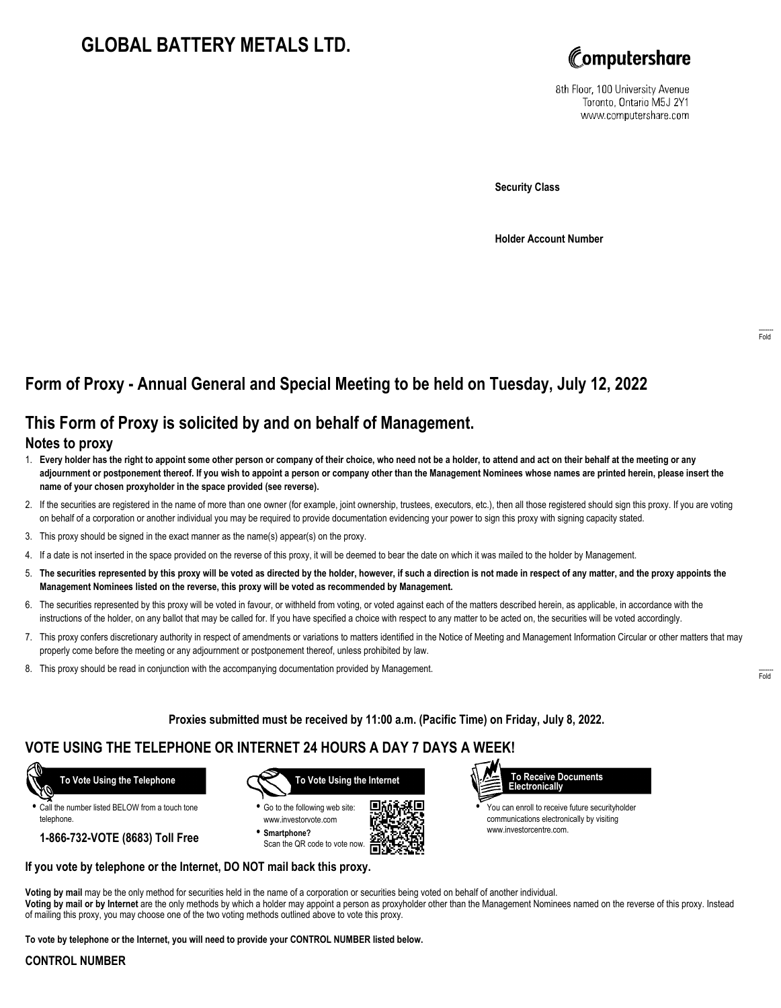# **GLOBAL BATTERY METALS LTD.**



8th Floor, 100 University Avenue Toronto, Ontario M5J 2Y1 www.computershare.com

**Security Class**

**Holder Account Number**

## **Form of Proxy - Annual General and Special Meeting to be held on Tuesday, July 12, 2022**

## **This Form of Proxy is solicited by and on behalf of Management.**

### **Notes to proxy**

- 1. **Every holder has the right to appoint some other person or company of their choice, who need not be a holder, to attend and act on their behalf at the meeting or any adjournment or postponement thereof. If you wish to appoint a person or company other than the Management Nominees whose names are printed herein, please insert the name of your chosen proxyholder in the space provided (see reverse).**
- 2. If the securities are registered in the name of more than one owner (for example, joint ownership, trustees, executors, etc.), then all those registered should sign this proxy. If you are voting on behalf of a corporation or another individual you may be required to provide documentation evidencing your power to sign this proxy with signing capacity stated.
- 3. This proxy should be signed in the exact manner as the name(s) appear(s) on the proxy.
- 4. If a date is not inserted in the space provided on the reverse of this proxy, it will be deemed to bear the date on which it was mailed to the holder by Management.
- 5. **The securities represented by this proxy will be voted as directed by the holder, however, if such a direction is not made in respect of any matter, and the proxy appoints the Management Nominees listed on the reverse, this proxy will be voted as recommended by Management.**
- 6. The securities represented by this proxy will be voted in favour, or withheld from voting, or voted against each of the matters described herein, as applicable, in accordance with the instructions of the holder, on any ballot that may be called for. If you have specified a choice with respect to any matter to be acted on, the securities will be voted accordingly.
- 7. This proxy confers discretionary authority in respect of amendments or variations to matters identified in the Notice of Meeting and Management Information Circular or other matters that may properly come before the meeting or any adjournment or postponement thereof, unless prohibited by law.
- 8. This proxy should be read in conjunction with the accompanying documentation provided by Management.

**Proxies submitted must be received by 11:00 a.m. (Pacific Time) on Friday, July 8, 2022.**

### **VOTE USING THE TELEPHONE OR INTERNET 24 HOURS A DAY 7 DAYS A WEEK!**

 **To Vote Using the Telephone**

**•** Call the number listed BELOW from a touch tone telephone.

**1-866-732-VOTE (8683) Toll Free**



**•** Go to the following web site: www.investorvote.com **• Smartphone?**

Scan the QR code to vote now.





**•** You can enroll to receive future securityholder communications electronically by visiting www.investorcentre.com.

#### **If you vote by telephone or the Internet, DO NOT mail back this proxy.**

**Voting by mail** may be the only method for securities held in the name of a corporation or securities being voted on behalf of another individual. **Voting by mail or by Internet** are the only methods by which a holder may appoint a person as proxyholder other than the Management Nominees named on the reverse of this proxy. Instead of mailing this proxy, you may choose one of the two voting methods outlined above to vote this proxy.

**To vote by telephone or the Internet, you will need to provide your CONTROL NUMBER listed below.**

#### **CONTROL NUMBER**